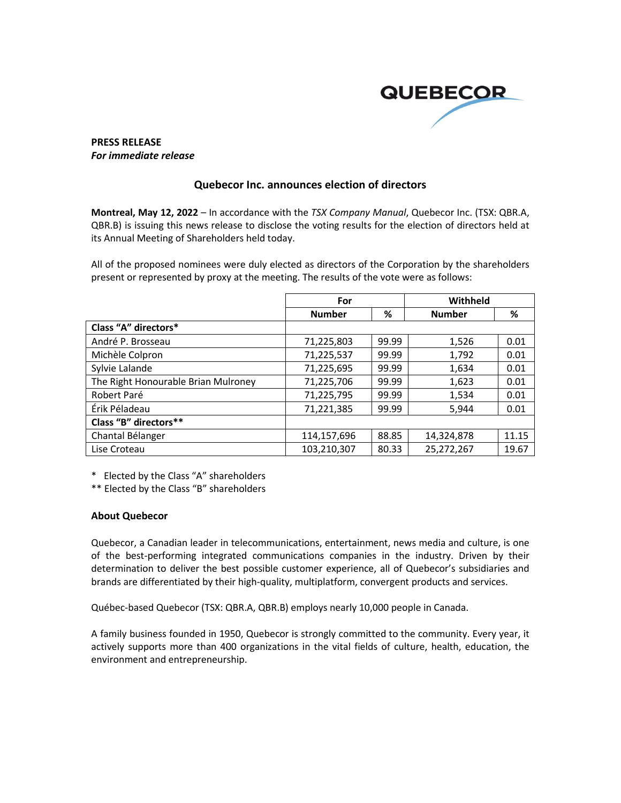

## **PRESS RELEASE** *For immediate release*

## **Quebecor Inc. announces election of directors**

**Montreal, May 12, 2022** – In accordance with the *TSX Company Manual*, Quebecor Inc. (TSX: QBR.A, QBR.B) is issuing this news release to disclose the voting results for the election of directors held at its Annual Meeting of Shareholders held today.

All of the proposed nominees were duly elected as directors of the Corporation by the shareholders present or represented by proxy at the meeting. The results of the vote were as follows:

|                                     | For           |       | Withheld      |       |
|-------------------------------------|---------------|-------|---------------|-------|
|                                     | <b>Number</b> | %     | <b>Number</b> | %     |
| Class "A" directors*                |               |       |               |       |
| André P. Brosseau                   | 71,225,803    | 99.99 | 1,526         | 0.01  |
| Michèle Colpron                     | 71,225,537    | 99.99 | 1,792         | 0.01  |
| Sylvie Lalande                      | 71,225,695    | 99.99 | 1,634         | 0.01  |
| The Right Honourable Brian Mulroney | 71,225,706    | 99.99 | 1,623         | 0.01  |
| Robert Paré                         | 71,225,795    | 99.99 | 1,534         | 0.01  |
| Érik Péladeau                       | 71,221,385    | 99.99 | 5,944         | 0.01  |
| Class "B" directors**               |               |       |               |       |
| Chantal Bélanger                    | 114,157,696   | 88.85 | 14,324,878    | 11.15 |
| Lise Croteau                        | 103,210,307   | 80.33 | 25,272,267    | 19.67 |

\* Elected by the Class "A" shareholders

\*\* Elected by the Class "B" shareholders

## **About Quebecor**

Quebecor, a Canadian leader in telecommunications, entertainment, news media and culture, is one of the best-performing integrated communications companies in the industry. Driven by their determination to deliver the best possible customer experience, all of Quebecor's subsidiaries and brands are differentiated by their high-quality, multiplatform, convergent products and services.

Québec-based Quebecor (TSX: QBR.A, QBR.B) employs nearly 10,000 people in Canada.

A family business founded in 1950, Quebecor is strongly committed to the community. Every year, it actively supports more than 400 organizations in the vital fields of culture, health, education, the environment and entrepreneurship.